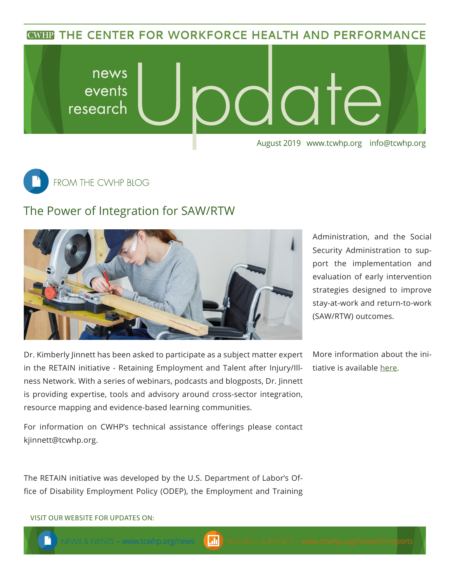**CWHP THE CENTER FOR WORKFORCE HEALTH AND PERFORMANCE** 





## The Power of Integration for SAW/RTW



Dr. Kimberly Jinnett has been asked to participate as a subject matter expert in the RETAIN initiative - Retaining Employment and Talent after Injury/Illness Network. With a series of webinars, podcasts and blogposts, Dr. Jinnett is providing expertise, tools and advisory around cross-sector integration, resource mapping and evidence-based learning communities.

Administration, and the Social Security Administration to support the implementation and evaluation of early intervention strategies designed to improve stay-at-work and return-to-work (SAW/RTW) outcomes.

More information about the initiative is available [here.](https://www.dol.gov/odep/topics/Stay-at-Work-Return-to-Work.htm)

For information on CWHP's technical assistance offerings please contact [kjinnett@tcwhp.org.](mailto:kjinnett@tcwhp.org)

The RETAIN initiative was developed by the U.S. Department of Labor's Office of Disability Employment Policy (ODEP), the Employment and Training

–<www.tcwhp.org>/news <mark> </mark> RESEARCH & REPORTS – <www.tcwhp.org>/research-re<mark>ports</mark>

VISIT OUR WEBSITE FOR UPDATES ON: